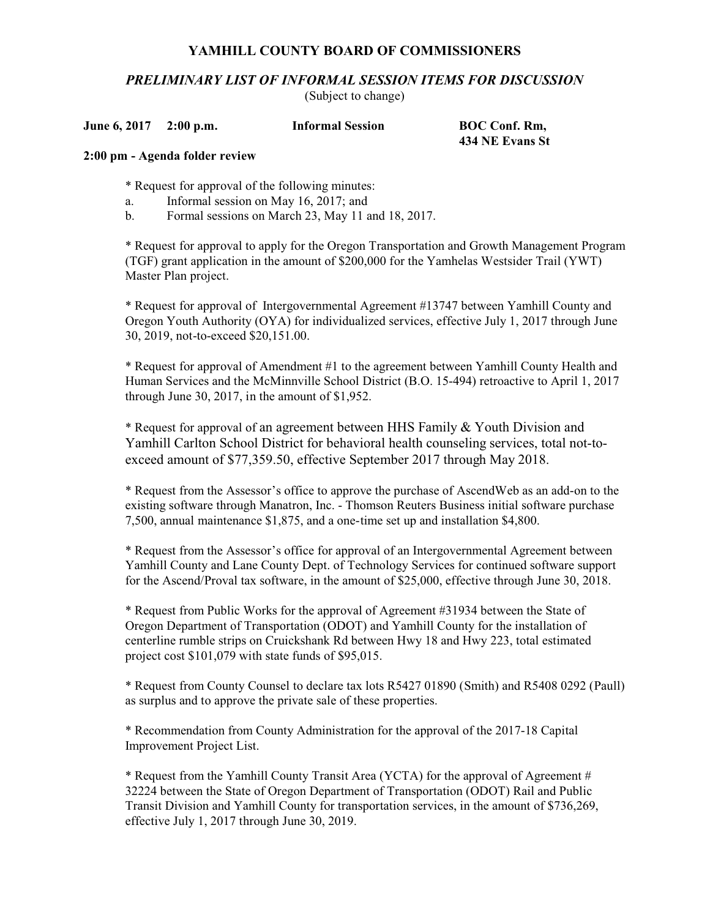## **YAMHILL COUNTY BOARD OF COMMISSIONERS**

*PRELIMINARY LIST OF INFORMAL SESSION ITEMS FOR DISCUSSION*

(Subject to change)

**June 6, 2017 2:00 p.m. Informal Session BOC Conf. Rm,** 

**434 NE Evans St**

## **2:00 pm - Agenda folder review**

\* Request for approval of the following minutes:

- a. Informal session on May 16, 2017; and
- b. Formal sessions on March 23, May 11 and 18, 2017.

\* Request for approval to apply for the Oregon Transportation and Growth Management Program (TGF) grant application in the amount of \$200,000 for the Yamhelas Westsider Trail (YWT) Master Plan project.

\* Request for approval of Intergovernmental Agreement #13747 between Yamhill County and Oregon Youth Authority (OYA) for individualized services, effective July 1, 2017 through June 30, 2019, not-to-exceed \$20,151.00.

\* Request for approval of Amendment #1 to the agreement between Yamhill County Health and Human Services and the McMinnville School District (B.O. 15-494) retroactive to April 1, 2017 through June 30, 2017, in the amount of \$1,952.

\* Request for approval of an agreement between HHS Family & Youth Division and Yamhill Carlton School District for behavioral health counseling services, total not-toexceed amount of \$77,359.50, effective September 2017 through May 2018.

\* Request from the Assessor's office to approve the purchase of AscendWeb as an add-on to the existing software through Manatron, Inc. - Thomson Reuters Business initial software purchase 7,500, annual maintenance \$1,875, and a one-time set up and installation \$4,800.

\* Request from the Assessor's office for approval of an Intergovernmental Agreement between Yamhill County and Lane County Dept. of Technology Services for continued software support for the Ascend/Proval tax software, in the amount of \$25,000, effective through June 30, 2018.

\* Request from Public Works for the approval of Agreement #31934 between the State of Oregon Department of Transportation (ODOT) and Yamhill County for the installation of centerline rumble strips on Cruickshank Rd between Hwy 18 and Hwy 223, total estimated project cost \$101,079 with state funds of \$95,015.

\* Request from County Counsel to declare tax lots R5427 01890 (Smith) and R5408 0292 (Paull) as surplus and to approve the private sale of these properties.

\* Recommendation from County Administration for the approval of the 2017-18 Capital Improvement Project List.

\* Request from the Yamhill County Transit Area (YCTA) for the approval of Agreement # 32224 between the State of Oregon Department of Transportation (ODOT) Rail and Public Transit Division and Yamhill County for transportation services, in the amount of \$736,269, effective July 1, 2017 through June 30, 2019.